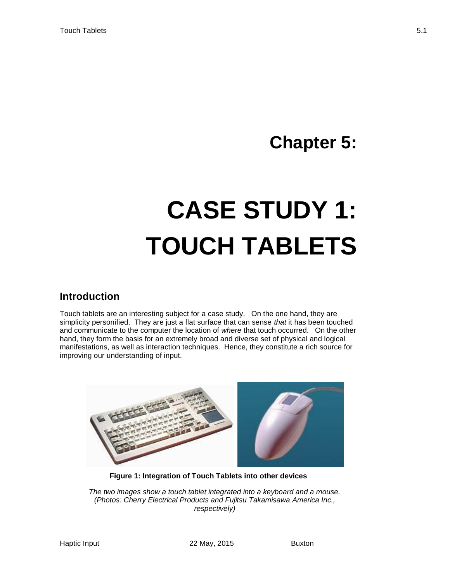# **Chapter 5:**

# **CASE STUDY 1: TOUCH TABLETS**

#### **Introduction**

Touch tablets are an interesting subject for a case study. On the one hand, they are simplicity personified. They are just a flat surface that can sense *that* it has been touched and communicate to the computer the location of *where* that touch occurred. On the other hand, they form the basis for an extremely broad and diverse set of physical and logical manifestations, as well as interaction techniques. Hence, they constitute a rich source for improving our understanding of input.



**Figure 1: Integration of Touch Tablets into other devices**

<span id="page-0-0"></span>*The two images show a touch tablet integrated into a keyboard and a mouse. (Photos: Cherry Electrical Products and Fujitsu Takamisawa America Inc., respectively)*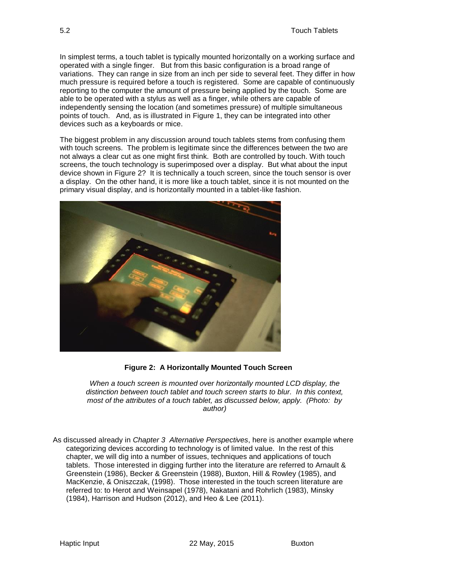In simplest terms, a touch tablet is typically mounted horizontally on a working surface and operated with a single finger. But from this basic configuration is a broad range of variations. They can range in size from an inch per side to several feet. They differ in how much pressure is required before a touch is registered. Some are capable of continuously reporting to the computer the amount of pressure being applied by the touch. Some are able to be operated with a stylus as well as a finger, while others are capable of independently sensing the location (and sometimes pressure) of multiple simultaneous points of touch. And, as is illustrated in [Figure 1,](#page-0-0) they can be integrated into other devices such as a keyboards or mice.

The biggest problem in any discussion around touch tablets stems from confusing them with touch screens. The problem is legitimate since the differences between the two are not always a clear cut as one might first think. Both are controlled by touch. With touch screens, the touch technology is superimposed over a display. But what about the input device shown in [Figure 2?](#page-1-0) It is technically a touch screen, since the touch sensor is over a display. On the other hand, it is more like a touch tablet, since it is not mounted on the primary visual display, and is horizontally mounted in a tablet-like fashion.



**Figure 2: A Horizontally Mounted Touch Screen**

<span id="page-1-0"></span>*When a touch screen is mounted over horizontally mounted LCD display, the distinction between touch tablet and touch screen starts to blur. In this context, most of the attributes of a touch tablet, as discussed below, apply. (Photo: by author)*

As discussed already in *Chapter 3 Alternative Perspectives*, here is another example where categorizing devices according to technology is of limited value. In the rest of this chapter, we will dig into a number of issues, techniques and applications of touch tablets. Those interested in digging further into the literature are referred to Arnault & Greenstein (1986), Becker & Greenstein (1988), Buxton, Hill & Rowley (1985), and MacKenzie, & Oniszczak, (1998). Those interested in the touch screen literature are referred to: to Herot and Weinsapel (1978), Nakatani and Rohrlich (1983), Minsky (1984), Harrison and Hudson (2012), and Heo & Lee (2011).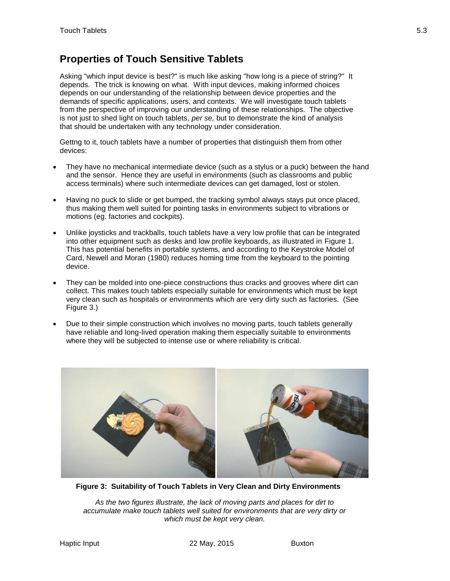# **Properties of Touch Sensitive Tablets**

Asking "which input device is best?" is much like asking "how long is a piece of string?" It depends. The trick is knowing on what. With input devices, making informed choices depends on our understanding of the relationship between device properties and the demands of specific applications, users, and contexts. We will investigate touch tablets from the perspective of improving our understanding of these relationships. The objective is not just to shed light on touch tablets, *per se,* but to demonstrate the kind of analysis that should be undertaken with any technology under consideration.

Gettng to it, touch tablets have a number of properties that distinguish them from other devices:

- They have no mechanical intermediate device (such as a stylus or a puck) between the hand and the sensor. Hence they are useful in environments (such as classrooms and public access terminals) where such intermediate devices can get damaged, lost or stolen.
- Having no puck to slide or get bumped, the tracking symbol always stays put once placed, thus making them well suited for pointing tasks in environments subject to vibrations or motions (eg. factories and cockpits).
- Unlike joysticks and trackballs, touch tablets have a very low profile that can be integrated into other equipment such as desks and low profile keyboards, as illustrated in [Figure 1.](#page-0-0) This has potential benefits in portable systems, and according to the Keystroke Model of Card, Newell and Moran (1980) reduces homing time from the keyboard to the pointing device.
- They can be molded into one-piece constructions thus cracks and grooves where dirt can collect. This makes touch tablets especially suitable for environments which must be kept very clean such as hospitals or environments which are very dirty such as factories. (See [Figure 3.](#page-2-0))
- Due to their simple construction which involves no moving parts, touch tablets generally have reliable and long-lived operation making them especially suitable to environments where they will be subjected to intense use or where reliability is critical.



**Figure 3: Suitability of Touch Tablets in Very Clean and Dirty Environments**

<span id="page-2-0"></span>*As the two figures illustrate, the lack of moving parts and places for dirt to accumulate make touch tablets well suited for environments that are very dirty or which must be kept very clean.*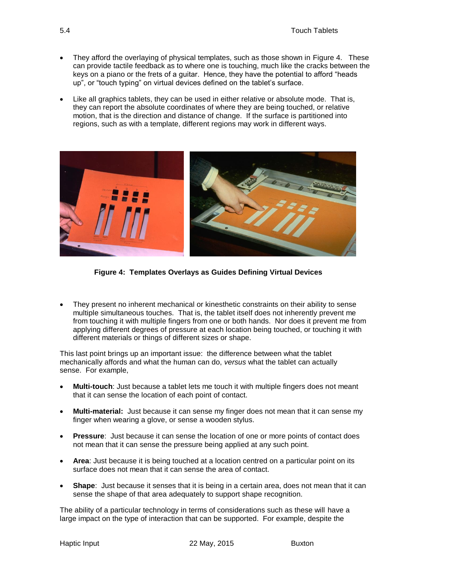- They afford the overlaying of physical templates, such as those shown in [Figure 4.](#page-3-0) These can provide tactile feedback as to where one is touching, much like the cracks between the keys on a piano or the frets of a guitar. Hence, they have the potential to afford "heads up", or "touch typing" on virtual devices defined on the tablet's surface.
- Like all graphics tablets, they can be used in either relative or absolute mode. That is, they can report the absolute coordinates of where they are being touched, or relative motion, that is the direction and distance of change. If the surface is partitioned into regions, such as with a template, different regions may work in different ways.



**Figure 4: Templates Overlays as Guides Defining Virtual Devices**

<span id="page-3-0"></span> They present no inherent mechanical or kinesthetic constraints on their ability to sense multiple simultaneous touches. That is, the tablet itself does not inherently prevent me from touching it with multiple fingers from one or both hands. Nor does it prevent me from applying different degrees of pressure at each location being touched, or touching it with different materials or things of different sizes or shape.

This last point brings up an important issue: the difference between what the tablet mechanically affords and what the human can do, *versus* what the tablet can actually sense. For example,

- **Multi-touch**: Just because a tablet lets me touch it with multiple fingers does not meant that it can sense the location of each point of contact.
- **Multi-material:** Just because it can sense my finger does not mean that it can sense my finger when wearing a glove, or sense a wooden stylus.
- **Pressure**: Just because it can sense the location of one or more points of contact does not mean that it can sense the pressure being applied at any such point.
- **Area**: Just because it is being touched at a location centred on a particular point on its surface does not mean that it can sense the area of contact.
- **Shape**: Just because it senses that it is being in a certain area, does not mean that it can sense the shape of that area adequately to support shape recognition.

The ability of a particular technology in terms of considerations such as these will have a large impact on the type of interaction that can be supported. For example, despite the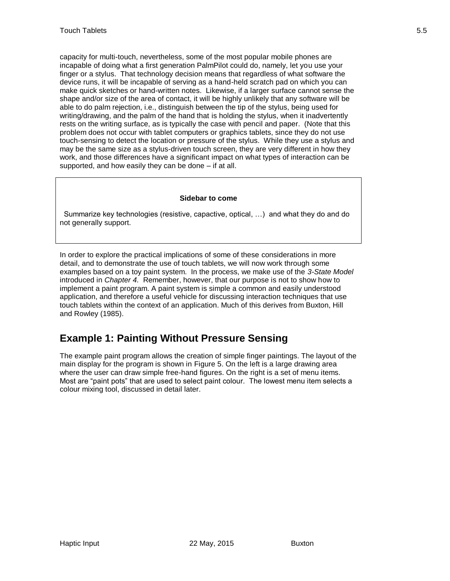capacity for multi-touch, nevertheless, some of the most popular mobile phones are incapable of doing what a first generation PalmPilot could do, namely, let you use your finger or a stylus. That technology decision means that regardless of what software the device runs, it will be incapable of serving as a hand-held scratch pad on which you can make quick sketches or hand-written notes. Likewise, if a larger surface cannot sense the shape and/or size of the area of contact, it will be highly unlikely that any software will be able to do palm rejection, i.e., distinguish between the tip of the stylus, being used for writing/drawing, and the palm of the hand that is holding the stylus, when it inadvertently rests on the writing surface, as is typically the case with pencil and paper. (Note that this problem does not occur with tablet computers or graphics tablets, since they do not use touch-sensing to detect the location or pressure of the stylus. While they use a stylus and may be the same size as a stylus-driven touch screen, they are very different in how they work, and those differences have a significant impact on what types of interaction can be supported, and how easily they can be done – if at all.

#### **Sidebar to come**

 Summarize key technologies (resistive, capactive, optical, …) and what they do and do not generally support.

In order to explore the practical implications of some of these considerations in more detail, and to demonstrate the use of touch tablets, we will now work through some examples based on a toy paint system. In the process, we make use of the *3-State Model* introduced in *Chapter 4.* Remember, however, that our purpose is not to show how to implement a paint program. A paint system is simple a common and easily understood application, and therefore a useful vehicle for discussing interaction techniques that use touch tablets within the context of an application. Much of this derives from Buxton, Hill and Rowley (1985).

#### **Example 1: Painting Without Pressure Sensing**

The example paint program allows the creation of simple finger paintings. The layout of the main display for the program is shown in [Figure 5.](#page-5-0) On the left is a large drawing area where the user can draw simple free-hand figures. On the right is a set of menu items. Most are "paint pots" that are used to select paint colour. The lowest menu item selects a colour mixing tool, discussed in detail later.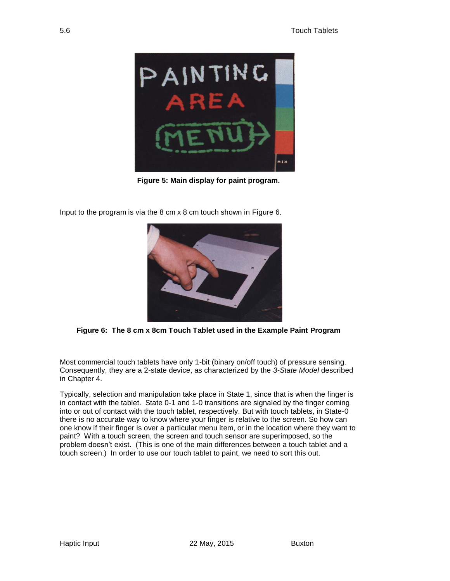

**Figure 5: Main display for paint program.**

<span id="page-5-0"></span>Input to the program is via the 8 cm x 8 cm touch shown in [Figure 6.](#page-5-1)



**Figure 6: The 8 cm x 8cm Touch Tablet used in the Example Paint Program**

<span id="page-5-1"></span>Most commercial touch tablets have only 1-bit (binary on/off touch) of pressure sensing. Consequently, they are a 2-state device, as characterized by the *3-State Model* described in Chapter 4.

Typically, selection and manipulation take place in State 1, since that is when the finger is in contact with the tablet. State 0-1 and 1-0 transitions are signaled by the finger coming into or out of contact with the touch tablet, respectively. But with touch tablets, in State-0 there is no accurate way to know where your finger is relative to the screen. So how can one know if their finger is over a particular menu item, or in the location where they want to paint? With a touch screen, the screen and touch sensor are superimposed, so the problem doesn't exist. (This is one of the main differences between a touch tablet and a touch screen.) In order to use our touch tablet to paint, we need to sort this out.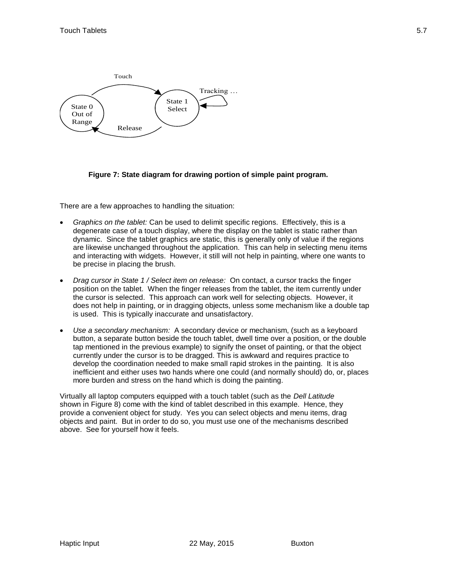

**Figure 7: State diagram for drawing portion of simple paint program.**

There are a few approaches to handling the situation:

- *Graphics on the tablet:* Can be used to delimit specific regions. Effectively, this is a degenerate case of a touch display, where the display on the tablet is static rather than dynamic. Since the tablet graphics are static, this is generally only of value if the regions are likewise unchanged throughout the application. This can help in selecting menu items and interacting with widgets. However, it still will not help in painting, where one wants to be precise in placing the brush.
- *Drag cursor in State 1 / Select item on release:* On contact, a cursor tracks the finger position on the tablet. When the finger releases from the tablet, the item currently under the cursor is selected. This approach can work well for selecting objects. However, it does not help in painting, or in dragging objects, unless some mechanism like a double tap is used. This is typically inaccurate and unsatisfactory.
- *Use a secondary mechanism:* A secondary device or mechanism, (such as a keyboard button, a separate button beside the touch tablet, dwell time over a position, or the double tap mentioned in the previous example) to signify the onset of painting, or that the object currently under the cursor is to be dragged. This is awkward and requires practice to develop the coordination needed to make small rapid strokes in the painting. It is also inefficient and either uses two hands where one could (and normally should) do, or, places more burden and stress on the hand which is doing the painting.

Virtually all laptop computers equipped with a touch tablet (such as the *Dell Latitude* shown in [Figure 8\)](#page-7-0) come with the kind of tablet described in this example. Hence, they provide a convenient object for study. Yes you can select objects and menu items, drag objects and paint. But in order to do so, you must use one of the mechanisms described above. See for yourself how it feels.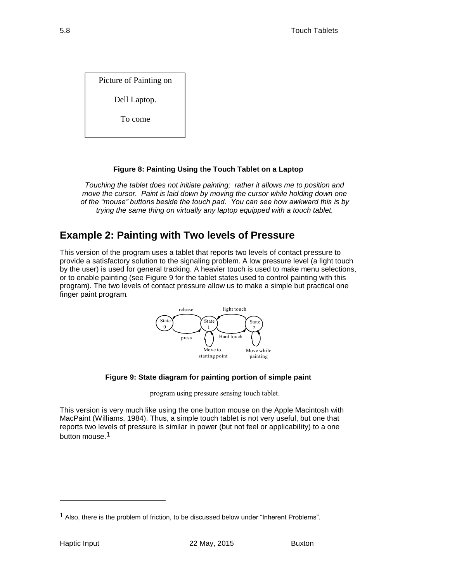Dell Laptop.

To come

#### **Figure 8: Painting Using the Touch Tablet on a Laptop**

<span id="page-7-0"></span>*Touching the tablet does not initiate painting; rather it allows me to position and move the cursor. Paint is laid down by moving the cursor while holding down one of the "mouse" buttons beside the touch pad. You can see how awkward this is by trying the same thing on virtually any laptop equipped with a touch tablet.* 

#### **Example 2: Painting with Two levels of Pressure**

Picture of Painting on<br>
To come<br>
Touching the stable does not initiate painting; rather it allows me to po<br>
move the cursor. Paint is laid down to y moving the cursor while holding<br>
of the "mouse" buttons beside the burbl This version of the program uses a tablet that reports two levels of contact pressure to provide a satisfactory solution to the signaling problem. A low pressure level (a light touch by the user) is used for general tracking. A heavier touch is used to make menu selections, or to enable painting (see [Figure 9](#page-7-1) for the tablet states used to control painting with this program). The two levels of contact pressure allow us to make a simple but practical one finger paint program.



#### **Figure 9: State diagram for painting portion of simple paint**

program using pressure sensing touch tablet.

<span id="page-7-1"></span>This version is very much like using the one button mouse on the Apple Macintosh with MacPaint (Williams, 1984). Thus, a simple touch tablet is not very useful, but one that reports two levels of pressure is similar in power (but not feel or applicability) to a one button mouse.1

l

 $<sup>1</sup>$  Also, there is the problem of friction, to be discussed below under "Inherent Problems".</sup>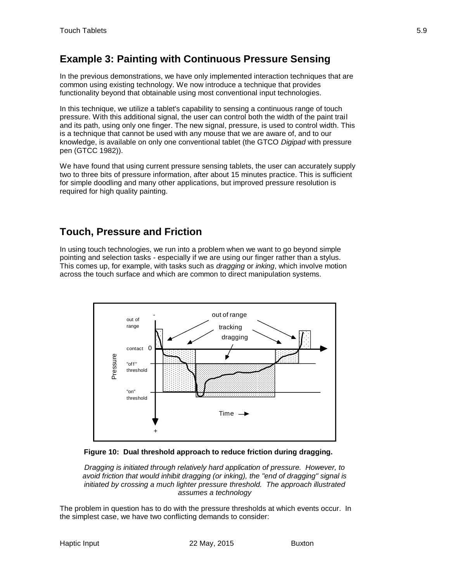# **Example 3: Painting with Continuous Pressure Sensing**

In the previous demonstrations, we have only implemented interaction techniques that are common using existing technology. We now introduce a technique that provides functionality beyond that obtainable using most conventional input technologies.

In this technique, we utilize a tablet's capability to sensing a continuous range of touch pressure. With this additional signal, the user can control both the width of the paint trail and its path, using only one finger. The new signal, pressure, is used to control width. This is a technique that cannot be used with any mouse that we are aware of, and to our knowledge, is available on only one conventional tablet (the GTCO *Digipad* with pressure pen (GTCC 1982)).

We have found that using current pressure sensing tablets, the user can accurately supply two to three bits of pressure information, after about 15 minutes practice. This is sufficient for simple doodling and many other applications, but improved pressure resolution is required for high quality painting.

#### **Touch, Pressure and Friction**

In using touch technologies, we run into a problem when we want to go beyond simple pointing and selection tasks - especially if we are using our finger rather than a stylus. This comes up, for example, with tasks such as *dragging* or *inking*, which involve motion across the touch surface and which are common to direct manipulation systems.



<span id="page-8-0"></span>**Figure 10: Dual threshold approach to reduce friction during dragging.**

*Dragging is initiated through relatively hard application of pressure. However, to avoid friction that would inhibit dragging (or inking), the "end of dragging" signal is initiated by crossing a much lighter pressure threshold. The approach illustrated assumes a technology* 

The problem in question has to do with the pressure thresholds at which events occur. In the simplest case, we have two conflicting demands to consider: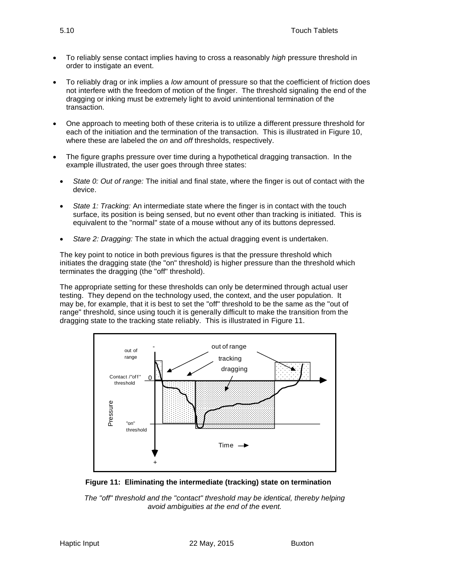- To reliably sense contact implies having to cross a reasonably *high* pressure threshold in order to instigate an event.
- To reliably drag or ink implies a *low* amount of pressure so that the coefficient of friction does not interfere with the freedom of motion of the finger. The threshold signaling the end of the dragging or inking must be extremely light to avoid unintentional termination of the transaction.
- One approach to meeting both of these criteria is to utilize a different pressure threshold for each of the initiation and the termination of the transaction. This is illustrated in [Figure 10,](#page-8-0) where these are labeled the *on* and *off* thresholds, respectively.
- The figure graphs pressure over time during a hypothetical dragging transaction. In the example illustrated, the user goes through three states:
	- *State 0: Out of range:* The initial and final state, where the finger is out of contact with the device.
	- *State 1: Tracking:* An intermediate state where the finger is in contact with the touch surface, its position is being sensed, but no event other than tracking is initiated. This is equivalent to the "normal" state of a mouse without any of its buttons depressed.
	- *Stare 2: Dragging:* The state in which the actual dragging event is undertaken.

The key point to notice in both previous figures is that the pressure threshold which initiates the dragging state (the "on" threshold) is higher pressure than the threshold which terminates the dragging (the "off" threshold).

The appropriate setting for these thresholds can only be determined through actual user testing. They depend on the technology used, the context, and the user population. It may be, for example, that it is best to set the "off" threshold to be the same as the "out of range" threshold, since using touch it is generally difficult to make the transition from the dragging state to the tracking state reliably. This is illustrated in [Figure 11.](#page-9-0)



<span id="page-9-0"></span>

*The "off" threshold and the "contact" threshold may be identical, thereby helping avoid ambiguities at the end of the event.*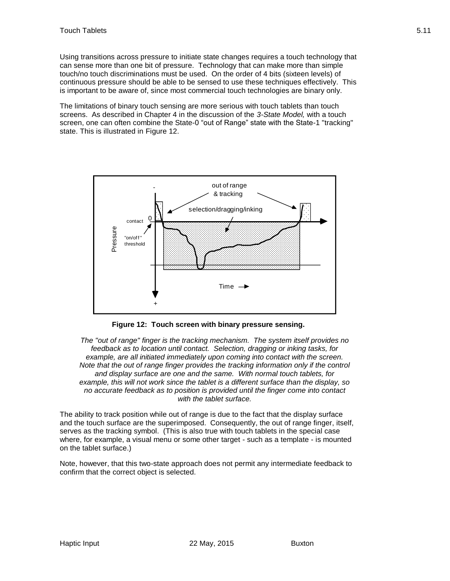Using transitions across pressure to initiate state changes requires a touch technology that can sense more than one bit of pressure. Technology that can make more than simple touch/no touch discriminations must be used. On the order of 4 bits (sixteen levels) of continuous pressure should be able to be sensed to use these techniques effectively. This is important to be aware of, since most commercial touch technologies are binary only.

The limitations of binary touch sensing are more serious with touch tablets than touch screens. As described in Chapter 4 in the discussion of the *3-State Model,* with a touch screen, one can often combine the State-0 "out of Range" state with the State-1 "tracking" state. This is illustrated in [Figure 12.](#page-10-0)



**Figure 12: Touch screen with binary pressure sensing.**

<span id="page-10-0"></span>*The "out of range" finger is the tracking mechanism. The system itself provides no feedback as to location until contact. Selection, dragging or inking tasks, for example, are all initiated immediately upon coming into contact with the screen. Note that the out of range finger provides the tracking information only if the control and display surface are one and the same. With normal touch tablets, for example, this will not work since the tablet is a different surface than the display, so no accurate feedback as to position is provided until the finger come into contact with the tablet surface.* 

The ability to track position while out of range is due to the fact that the display surface and the touch surface are the superimposed. Consequently, the out of range finger, itself, serves as the tracking symbol. (This is also true with touch tablets in the special case where, for example, a visual menu or some other target - such as a template - is mounted on the tablet surface.)

Note, however, that this two-state approach does not permit any intermediate feedback to confirm that the correct object is selected.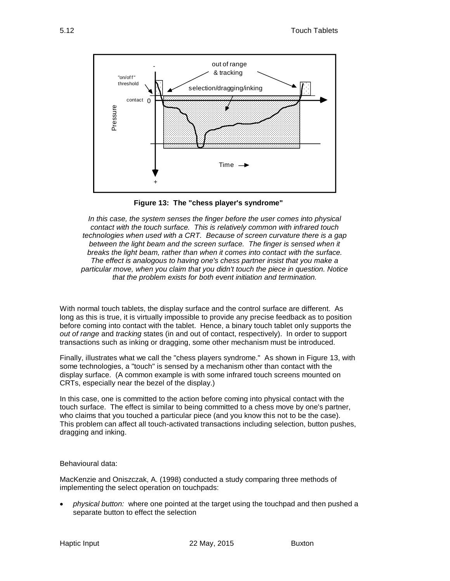

**Figure 13: The "chess player's syndrome"**

<span id="page-11-0"></span>*In this case, the system senses the finger before the user comes into physical contact with the touch surface. This is relatively common with infrared touch technologies when used with a CRT. Because of screen curvature there is a gap*  between the light beam and the screen surface. The finger is sensed when it *breaks the light beam, rather than when it comes into contact with the surface. The effect is analogous to having one's chess partner insist that you make a particular move, when you claim that you didn't touch the piece in question. Notice that the problem exists for both event initiation and termination.*

With normal touch tablets, the display surface and the control surface are different. As long as this is true, it is virtually impossible to provide any precise feedback as to position before coming into contact with the tablet. Hence, a binary touch tablet only supports the *out of range* and *tracking* states (in and out of contact, respectively). In order to support transactions such as inking or dragging, some other mechanism must be introduced.

Finally, illustrates what we call the "chess players syndrome." As shown in [Figure 13,](#page-11-0) with some technologies, a "touch" is sensed by a mechanism other than contact with the display surface. (A common example is with some infrared touch screens mounted on CRTs, especially near the bezel of the display.)

In this case, one is committed to the action before coming into physical contact with the touch surface. The effect is similar to being committed to a chess move by one's partner, who claims that you touched a particular piece (and you know this not to be the case). This problem can affect all touch-activated transactions including selection, button pushes, dragging and inking.

#### Behavioural data:

MacKenzie and Oniszczak, A. (1998) conducted a study comparing three methods of implementing the select operation on touchpads:

 *physical button:* where one pointed at the target using the touchpad and then pushed a separate button to effect the selection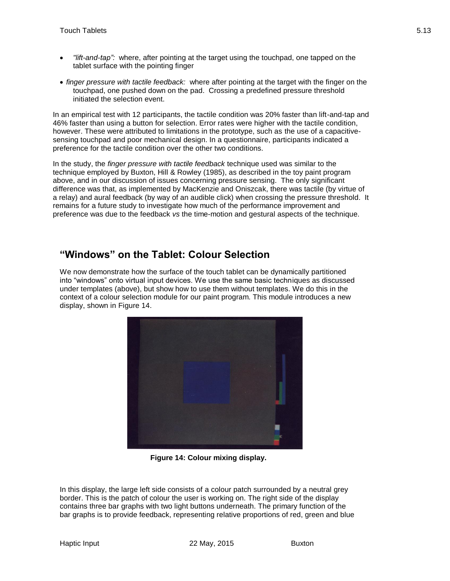- *"lift-and-tap":* where, after pointing at the target using the touchpad, one tapped on the tablet surface with the pointing finger
- *finger pressure with tactile feedback:* where after pointing at the target with the finger on the touchpad, one pushed down on the pad. Crossing a predefined pressure threshold initiated the selection event.

In an empirical test with 12 participants, the tactile condition was 20% faster than lift-and-tap and 46% faster than using a button for selection. Error rates were higher with the tactile condition, however. These were attributed to limitations in the prototype, such as the use of a capacitivesensing touchpad and poor mechanical design. In a questionnaire, participants indicated a preference for the tactile condition over the other two conditions.

In the study, the *finger pressure with tactile feedback* technique used was similar to the technique employed by Buxton, Hill & Rowley (1985), as described in the toy paint program above, and in our discussion of issues concerning pressure sensing. The only significant difference was that, as implemented by MacKenzie and Oniszcak, there was tactile (by virtue of a relay) and aural feedback (by way of an audible click) when crossing the pressure threshold. It remains for a future study to investigate how much of the performance improvement and preference was due to the feedback *vs* the time-motion and gestural aspects of the technique.

#### **"Windows" on the Tablet: Colour Selection**

We now demonstrate how the surface of the touch tablet can be dynamically partitioned into "windows" onto virtual input devices. We use the same basic techniques as discussed under templates (above), but show how to use them without templates. We do this in the context of a colour selection module for our paint program. This module introduces a new display, shown in [Figure 14.](#page-12-0)



**Figure 14: Colour mixing display.**

<span id="page-12-0"></span>In this display, the large left side consists of a colour patch surrounded by a neutral grey border. This is the patch of colour the user is working on. The right side of the display contains three bar graphs with two light buttons underneath. The primary function of the bar graphs is to provide feedback, representing relative proportions of red, green and blue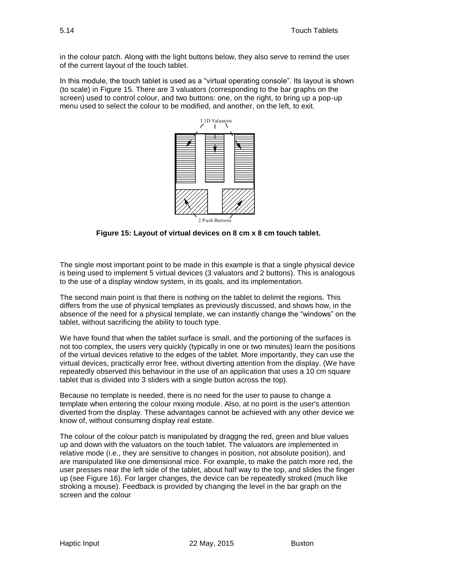in the colour patch. Along with the light buttons below, they also serve to remind the user of the current layout of the touch tablet.

In this module, the touch tablet is used as a "virtual operating console". Its layout is shown (to scale) in [Figure 15.](#page-13-0) There are 3 valuators (corresponding to the bar graphs on the screen) used to control colour, and two buttons: one, on the right, to bring up a pop-up menu used to select the colour to be modified, and another, on the left, to exit.



**Figure 15: Layout of virtual devices on 8 cm x 8 cm touch tablet.**

<span id="page-13-0"></span>The single most important point to be made in this example is that a single physical device is being used to implement 5 virtual devices (3 valuators and 2 buttons). This is analogous to the use of a display window system, in its goals, and its implementation.

The second main point is that there is nothing on the tablet to delimit the regions. This differs from the use of physical templates as previously discussed, and shows how, in the absence of the need for a physical template, we can instantly change the "windows" on the tablet, without sacrificing the ability to touch type.

We have found that when the tablet surface is small, and the portioning of the surfaces is not too complex, the users very quickly (typically in one or two minutes) learn the positions of the virtual devices relative to the edges of the tablet. More importantly, they can use the virtual devices, practically error free, without diverting attention from the display. (We have repeatedly observed this behaviour in the use of an application that uses a 10 cm square tablet that is divided into 3 sliders with a single button across the top).

Because no template is needed, there is no need for the user to pause to change a template when entering the colour mixing module. Also, at no point is the user's attention diverted from the display. These advantages cannot be achieved with any other device we know of, without consuming display real estate.

The colour of the colour patch is manipulated by draggng the red, green and blue values up and down with the valuators on the touch tablet. The valuators are implemented in relative mode (i.e., they are sensitive to changes in position, not absolute position), and are manipulated like one dimensional mice. For example, to make the patch more red, the user presses near the left side of the tablet, about half way to the top, and slides the finger up (see [Figure 16\)](#page-14-0). For larger changes, the device can be repeatedly stroked (much like stroking a mouse). Feedback is provided by changing the level in the bar graph on the screen and the colour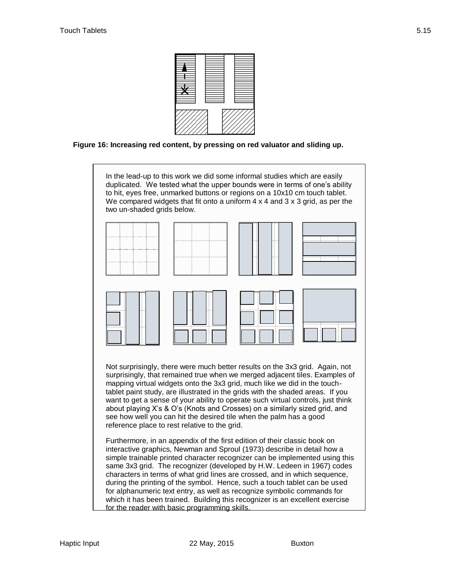

<span id="page-14-0"></span>**Figure 16: Increasing red content, by pressing on red valuator and sliding up.**

In the lead-up to this work we did some informal studies which are easily duplicated. We tested what the upper bounds were in terms of one's ability to hit, eyes free, unmarked buttons or regions on a 10x10 cm touch tablet. We compared widgets that fit onto a uniform 4 x 4 and 3 x 3 grid, as per the two un-shaded grids below.



Not surprisingly, there were much better results on the 3x3 grid. Again, not surprisingly, that remained true when we merged adjacent tiles. Examples of mapping virtual widgets onto the 3x3 grid, much like we did in the touchtablet paint study, are illustrated in the grids with the shaded areas. If you want to get a sense of your ability to operate such virtual controls, just think about playing X's & O's (Knots and Crosses) on a similarly sized grid, and see how well you can hit the desired tile when the palm has a good reference place to rest relative to the grid.

Furthermore, in an appendix of the first edition of their classic book on interactive graphics, Newman and Sproul (1973) describe in detail how a simple trainable printed character recognizer can be implemented using this same 3x3 grid. The recognizer (developed by H.W. Ledeen in 1967) codes characters in terms of what grid lines are crossed, and in which sequence, during the printing of the symbol. Hence, such a touch tablet can be used for alphanumeric text entry, as well as recognize symbolic commands for which it has been trained. Building this recognizer is an excellent exercise for the reader with basic programming skills.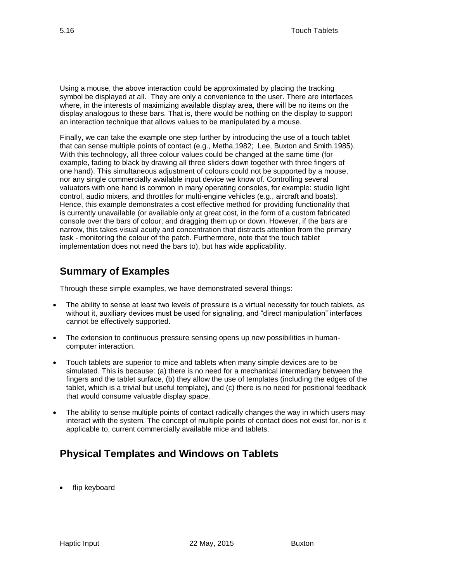Using a mouse, the above interaction could be approximated by placing the tracking symbol be displayed at all. They are only a convenience to the user. There are interfaces where, in the interests of maximizing available display area, there will be no items on the display analogous to these bars. That is, there would be nothing on the display to support an interaction technique that allows values to be manipulated by a mouse.

Finally, we can take the example one step further by introducing the use of a touch tablet that can sense multiple points of contact (e.g., Metha,1982; Lee, Buxton and Smith,1985). With this technology, all three colour values could be changed at the same time (for example, fading to black by drawing all three sliders down together with three fingers of one hand). This simultaneous adjustment of colours could not be supported by a mouse, nor any single commercially available input device we know of. Controlling several valuators with one hand is common in many operating consoles, for example: studio light control, audio mixers, and throttles for multi-engine vehicles (e.g., aircraft and boats). Hence, this example demonstrates a cost effective method for providing functionality that is currently unavailable (or available only at great cost, in the form of a custom fabricated console over the bars of colour, and dragging them up or down. However, if the bars are narrow, this takes visual acuity and concentration that distracts attention from the primary task - monitoring the colour of the patch. Furthermore, note that the touch tablet implementation does not need the bars to), but has wide applicability.

#### **Summary of Examples**

Through these simple examples, we have demonstrated several things:

- The ability to sense at least two levels of pressure is a virtual necessity for touch tablets, as without it, auxiliary devices must be used for signaling, and "direct manipulation" interfaces cannot be effectively supported.
- The extension to continuous pressure sensing opens up new possibilities in humancomputer interaction.
- Touch tablets are superior to mice and tablets when many simple devices are to be simulated. This is because: (a) there is no need for a mechanical intermediary between the fingers and the tablet surface, (b) they allow the use of templates (including the edges of the tablet, which is a trivial but useful template), and (c) there is no need for positional feedback that would consume valuable display space.
- The ability to sense multiple points of contact radically changes the way in which users may interact with the system. The concept of multiple points of contact does not exist for, nor is it applicable to, current commercially available mice and tablets.

# **Physical Templates and Windows on Tablets**

flip keyboard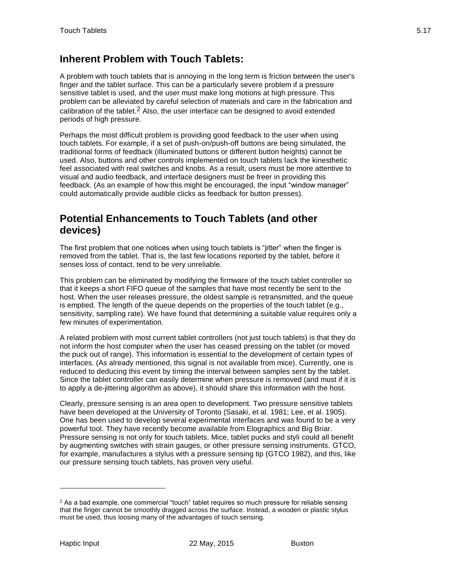#### **Inherent Problem with Touch Tablets:**

A problem with touch tablets that is annoying in the long term is friction between the user's finger and the tablet surface. This can be a particularly severe problem if a pressure sensitive tablet is used, and the user must make long motions at high pressure. This problem can be alleviated by careful selection of materials and care in the fabrication and calibration of the tablet.2 Also, the user interface can be designed to avoid extended periods of high pressure.

Perhaps the most difficult problem is providing good feedback to the user when using touch tablets. For example, if a set of push-on/push-off buttons are being simulated, the traditional forms of feedback (illuminated buttons or different button heights) cannot be used. Also, buttons and other controls implemented on touch tablets lack the kinesthetic feel associated with real switches and knobs. As a result, users must be more attentive to visual and audio feedback, and interface designers must be freer in providing this feedback. (As an example of how this might be encouraged, the input "window manager" could automatically provide audible clicks as feedback for button presses).

#### **Potential Enhancements to Touch Tablets (and other devices)**

The first problem that one notices when using touch tablets is "jitter" when the finger is removed from the tablet. That is, the last few locations reported by the tablet, before it senses loss of contact, tend to be very unreliable.

This problem can be eliminated by modifying the firmware of the touch tablet controller so that it keeps a short FIFO queue of the samples that have most recently be sent to the host. When the user releases pressure, the oldest sample is retransmitted, and the queue is emptied. The length of the queue depends on the properties of the touch tablet (e.g., sensitivity, sampling rate). We have found that determining a suitable value requires only a few minutes of experimentation.

A related problem with most current tablet controllers (not just touch tablets) is that they do not inform the host computer when the user has ceased pressing on the tablet (or moved the puck out of range). This information is essential to the development of certain types of interfaces. (As already mentioned, this signal is not available from mice). Currently, one is reduced to deducing this event by timing the interval between samples sent by the tablet. Since the tablet controller can easily determine when pressure is removed (and must if it is to apply a de-jittering algorithm as above), it should share this information with the host.

Clearly, pressure sensing is an area open to development. Two pressure sensitive tablets have been developed at the University of Toronto (Sasaki, et al. 1981; Lee, et al. 1905). One has been used to develop several experimental interfaces and was found to be a very powerful tool. They have recently become available from Elographics and Big Briar. Pressure sensing is not only for touch tablets. Mice, tablet pucks and styli could all benefit by augmenting switches with strain gauges, or other pressure sensing instruments. GTCO, for example, manufactures a stylus with a pressure sensing tip (GTCO 1982), and this, like our pressure sensing touch tablets, has proven very useful.

l

<sup>&</sup>lt;sup>2</sup> As a bad example, one commercial "touch" tablet requires so much pressure for reliable sensing that the finger cannot be smoothly dragged across the surface. Instead, a wooden or plastic stylus must be used, thus loosing many of the advantages of touch sensing.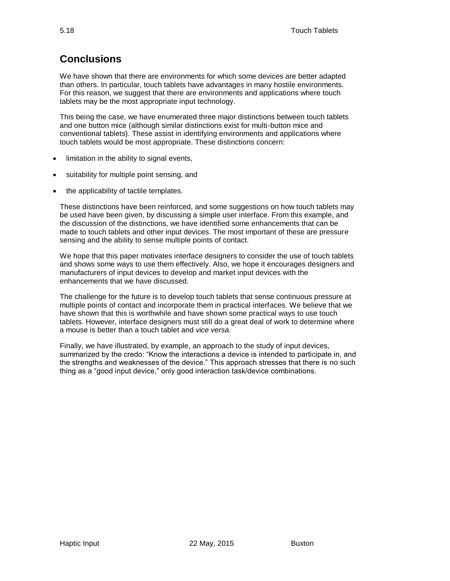# **Conclusions**

We have shown that there are environments for which some devices are better adapted than others. In particular, touch tablets have advantages in many hostile environments. For this reason, we suggest that there are environments and applications where touch tablets may be the most appropriate input technology.

This being the case, we have enumerated three major distinctions between touch tablets and one button mice (although similar distinctions exist for multi-button mice and conventional tablets). These assist in identifying environments and applications where touch tablets would be most appropriate. These distinctions concern:

- limitation in the ability to signal events,
- suitability for multiple point sensing, and
- the applicability of tactile templates.

These distinctions have been reinforced, and some suggestions on how touch tablets may be used have been given, by discussing a simple user interface. From this example, and the discussion of the distinctions, we have identified some enhancements that can be made to touch tablets and other input devices. The most important of these are pressure sensing and the ability to sense multiple points of contact.

We hope that this paper motivates interface designers to consider the use of touch tablets and shows some ways to use them effectively. Also, we hope it encourages designers and manufacturers of input devices to develop and market input devices with the enhancements that we have discussed.

The challenge for the future is to develop touch tablets that sense continuous pressure at multiple points of contact and incorporate them in practical interfaces. We believe that we have shown that this is worthwhile and have shown some practical ways to use touch tablets. However, interface designers must still do a great deal of work to determine where a mouse is better than a touch tablet and *vice versa.*

Finally, we have illustrated, by example, an approach to the study of input devices, summarized by the credo: "Know the interactions a device is intended to participate in, and the strengths and weaknesses of the device." This approach stresses that there is no such thing as a "good input device," only good interaction task/device combinations.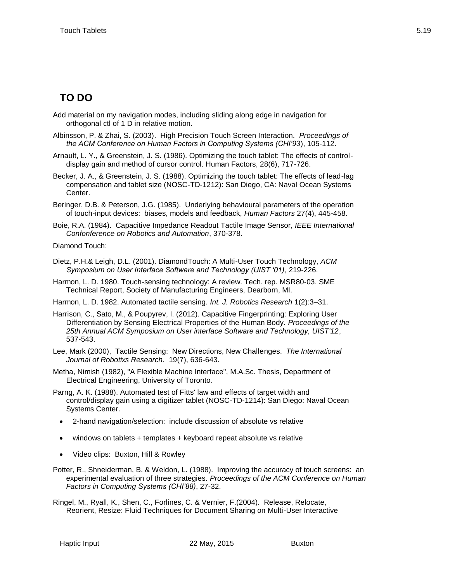# **TO DO**

- Add material on my navigation modes, including sliding along edge in navigation for orthogonal ctl of 1 D in relative motion.
- Albinsson, P. & Zhai, S. (2003). High Precision Touch Screen Interaction. *Proceedings of the ACM Conference on Human Factors in Computing Systems (CHI'93*), 105-112.
- Arnault, L. Y., & Greenstein, J. S. (1986). Optimizing the touch tablet: The effects of controldisplay gain and method of cursor control. Human Factors, 28(6), 717-726.
- Becker, J. A., & Greenstein, J. S. (1988). Optimizing the touch tablet: The effects of lead-lag compensation and tablet size (NOSC-TD-1212): San Diego, CA: Naval Ocean Systems Center.
- Beringer, D.B. & Peterson, J.G. (1985). Underlying behavioural parameters of the operation of touch-input devices: biases, models and feedback, *Human Factors* 27(4), 445-458.
- Boie, R.A. (1984). Capacitive Impedance Readout Tactile Image Sensor, *IEEE International Confonference on Robotics and Automation*, 370-378.

Diamond Touch:

- Dietz, P.H.& Leigh, D.L. (2001). DiamondTouch: A Multi-User Touch Technology, *ACM Symposium on User Interface Software and Technology (UIST '01)*, 219-226.
- Harmon, L. D. 1980. Touch-sensing technology: A review. Tech. rep. MSR80-03. SME Technical Report, Society of Manufacturing Engineers, Dearborn, MI.
- Harmon, L. D. 1982. Automated tactile sensing. *Int. J. Robotics Research* 1(2):3–31.
- Harrison, C., Sato, M., & Poupyrev, I. (2012). Capacitive Fingerprinting: Exploring User Differentiation by Sensing Electrical Properties of the Human Body. *Proceedings of the 25th Annual ACM Symposium on User interface Software and Technology, UIST'12*, 537-543.
- Lee, Mark (2000), Tactile Sensing: New Directions, New Challenges. *The International Journal of Robotixs Research.* 19(7), 636-643.
- Metha, Nimish (1982), "A Flexible Machine Interface", M.A.Sc. Thesis, Department of Electrical Engineering, University of Toronto.
- Parng, A. K. (1988). Automated test of Fitts' law and effects of target width and control/display gain using a digitizer tablet (NOSC-TD-1214): San Diego: Naval Ocean Systems Center.
	- 2-hand navigation/selection: include discussion of absolute vs relative
	- windows on tablets + templates + keyboard repeat absolute vs relative
	- Video clips: Buxton, Hill & Rowley
- Potter, R., Shneiderman, B. & Weldon, L. (1988). Improving the accuracy of touch screens: an experimental evaluation of three strategies. *Proceedings of the ACM Conference on Human Factors in Computing Systems (CHI'88)*, 27-32.
- Ringel, M., Ryall, K., Shen, C., Forlines, C. & Vernier, F.(2004). Release, Relocate, Reorient, Resize: Fluid Techniques for Document Sharing on Multi-User Interactive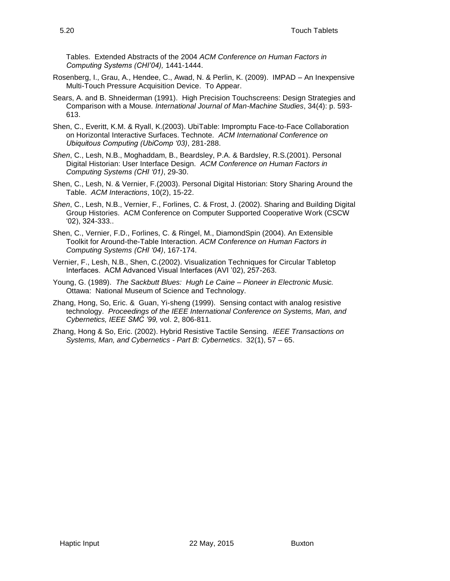Tables. Extended Abstracts of the 2004 *ACM Conference on Human Factors in Computing Systems (CHI'04),* 1441-1444.

- Rosenberg, I., Grau, A., Hendee, C., Awad, N. & Perlin, K. (2009). IMPAD An Inexpensive Multi-Touch Pressure Acquisition Device. To Appear.
- Sears, A. and B. Shneiderman (1991). High Precision Touchscreens: Design Strategies and Comparison with a Mouse*. International Journal of Man-Machine Studies*, 34(4): p. 593- 613.
- Shen, C., Everitt, K.M. & Ryall, K.(2003). UbiTable: Impromptu Face-to-Face Collaboration on Horizontal Interactive Surfaces. Technote. *ACM International Conference on Ubiquitous Computing (UbiComp '03)*, 281-288.
- *Shen*, C., Lesh, N.B., Moghaddam, B., Beardsley, P.A. & Bardsley, R.S.(2001). Personal Digital Historian: User Interface Design. *ACM Conference on Human Factors in Computing Systems (CHI '01)*, 29-30.
- Shen, C., Lesh, N. & Vernier, F.(2003). Personal Digital Historian: Story Sharing Around the Table. *ACM Interactions*, 10(2), 15-22.
- *Shen*, C., Lesh, N.B., Vernier, F., Forlines, C. & Frost, J. (2002). Sharing and Building Digital Group Histories. ACM Conference on Computer Supported Cooperative Work (CSCW '02), 324-333..
- Shen, C., Vernier, F.D., Forlines, C. & Ringel, M., DiamondSpin (2004). An Extensible Toolkit for Around-the-Table Interaction. *ACM Conference on Human Factors in Computing Systems (CHI '04)*, 167-174.
- Vernier, F., Lesh, N.B., Shen, C.(2002). Visualization Techniques for Circular Tabletop Interfaces. ACM Advanced Visual Interfaces (AVI '02), 257-263.
- Young, G. (1989). *The Sackbutt Blues: Hugh Le Caine – Pioneer in Electronic Music.* Ottawa: National Museum of Science and Technology.
- Zhang, Hong, So, Eric. & Guan, Yi-sheng (1999). Sensing contact with analog resistive technology. *Proceedings of the IEEE International Conference on Systems, Man, and Cybernetics, IEEE SMC '99,* vol. 2, 806-811.
- Zhang, Hong & So, Eric. (2002). Hybrid Resistive Tactile Sensing. *IEEE Transactions on Systems, Man, and Cybernetics - Part B: Cybernetics*. 32(1), 57 – 65.